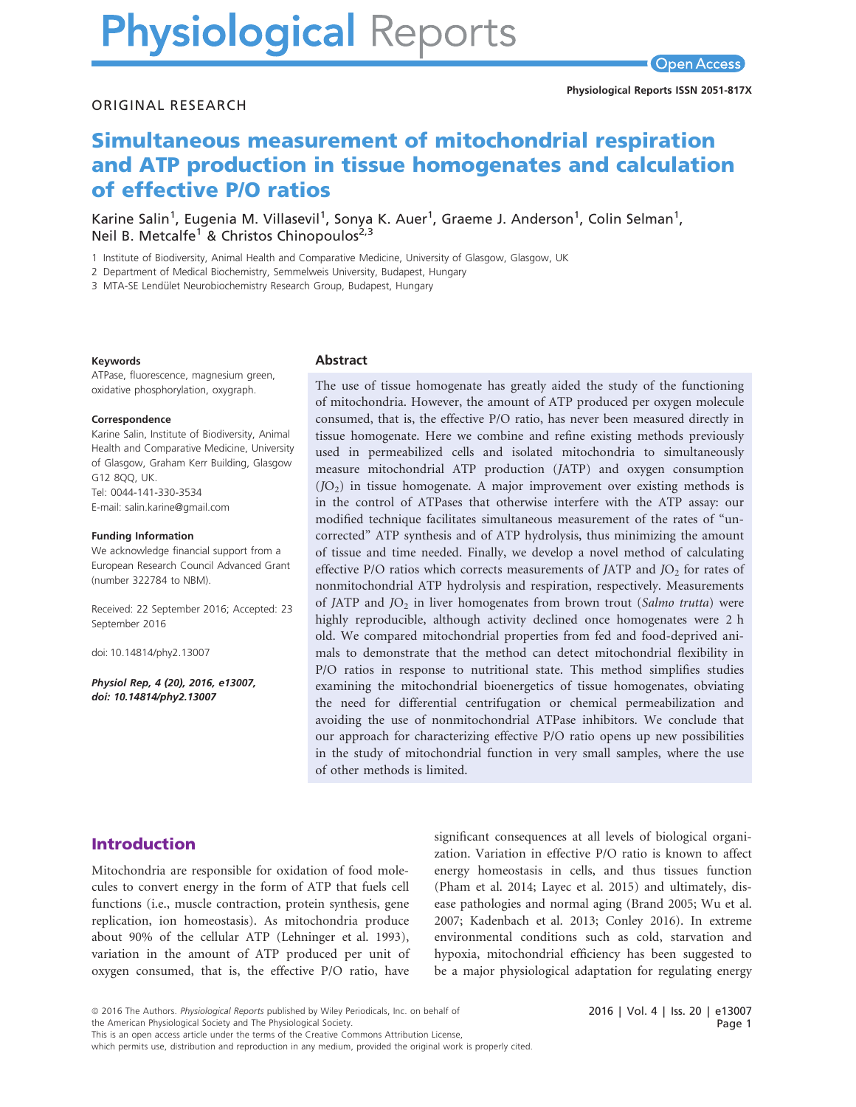# **Physiological Reports**

#### ORIGINAL RESEARCH

# Simultaneous measurement of mitochondrial respiration and ATP production in tissue homogenates and calculation of effective P/O ratios

Karine Salin<sup>1</sup>, Eugenia M. Villasevil<sup>1</sup>, Sonya K. Auer<sup>1</sup>, Graeme J. Anderson<sup>1</sup>, Colin Selman<sup>1</sup>, Neil B. Metcalfe<sup>1</sup> & Christos Chinopoulos<sup>2,3</sup>

1 Institute of Biodiversity, Animal Health and Comparative Medicine, University of Glasgow, Glasgow, UK

2 Department of Medical Biochemistry, Semmelweis University, Budapest, Hungary

3 MTA-SE Lendület Neurobiochemistry Research Group, Budapest, Hungary

#### Keywords

ATPase, fluorescence, magnesium green, oxidative phosphorylation, oxygraph.

#### Correspondence

Karine Salin, Institute of Biodiversity, Animal Health and Comparative Medicine, University of Glasgow, Graham Kerr Building, Glasgow G12 8QQ, UK. Tel: 0044-141-330-3534 E-mail: salin.karine@gmail.com

#### Funding Information

We acknowledge financial support from a European Research Council Advanced Grant (number 322784 to NBM).

Received: 22 September 2016; Accepted: 23 September 2016

doi: 10.14814/phy2.13007

Physiol Rep, 4 (20), 2016, e13007, doi: [10.14814/phy2.13007](info:doi/10.14814/phy2.13007)

#### Abstract

The use of tissue homogenate has greatly aided the study of the functioning of mitochondria. However, the amount of ATP produced per oxygen molecule consumed, that is, the effective P/O ratio, has never been measured directly in tissue homogenate. Here we combine and refine existing methods previously used in permeabilized cells and isolated mitochondria to simultaneously measure mitochondrial ATP production (JATP) and oxygen consumption  $(JO<sub>2</sub>)$  in tissue homogenate. A major improvement over existing methods is in the control of ATPases that otherwise interfere with the ATP assay: our modified technique facilitates simultaneous measurement of the rates of "uncorrected" ATP synthesis and of ATP hydrolysis, thus minimizing the amount of tissue and time needed. Finally, we develop a novel method of calculating effective P/O ratios which corrects measurements of JATP and  $JO<sub>2</sub>$  for rates of nonmitochondrial ATP hydrolysis and respiration, respectively. Measurements of JATP and  $JO_2$  in liver homogenates from brown trout (Salmo trutta) were highly reproducible, although activity declined once homogenates were 2 h old. We compared mitochondrial properties from fed and food-deprived animals to demonstrate that the method can detect mitochondrial flexibility in P/O ratios in response to nutritional state. This method simplifies studies examining the mitochondrial bioenergetics of tissue homogenates, obviating the need for differential centrifugation or chemical permeabilization and avoiding the use of nonmitochondrial ATPase inhibitors. We conclude that our approach for characterizing effective P/O ratio opens up new possibilities in the study of mitochondrial function in very small samples, where the use of other methods is limited.

# Introduction

Mitochondria are responsible for oxidation of food molecules to convert energy in the form of ATP that fuels cell functions (i.e., muscle contraction, protein synthesis, gene replication, ion homeostasis). As mitochondria produce about 90% of the cellular ATP (Lehninger et al. 1993), variation in the amount of ATP produced per unit of oxygen consumed, that is, the effective P/O ratio, have

significant consequences at all levels of biological organization. Variation in effective P/O ratio is known to affect energy homeostasis in cells, and thus tissues function (Pham et al. 2014; Layec et al. 2015) and ultimately, disease pathologies and normal aging (Brand 2005; Wu et al. 2007; Kadenbach et al. 2013; Conley 2016). In extreme environmental conditions such as cold, starvation and hypoxia, mitochondrial efficiency has been suggested to be a major physiological adaptation for regulating energy

which permits use, distribution and reproduction in any medium, provided the original work is properly cited.

<sup>ª</sup> 2016 The Authors. Physiological Reports published by Wiley Periodicals, Inc. on behalf of

the American Physiological Society and The Physiological Society.

This is an open access article under the terms of the [Creative Commons Attribution](http://creativecommons.org/licenses/by/4.0/) License,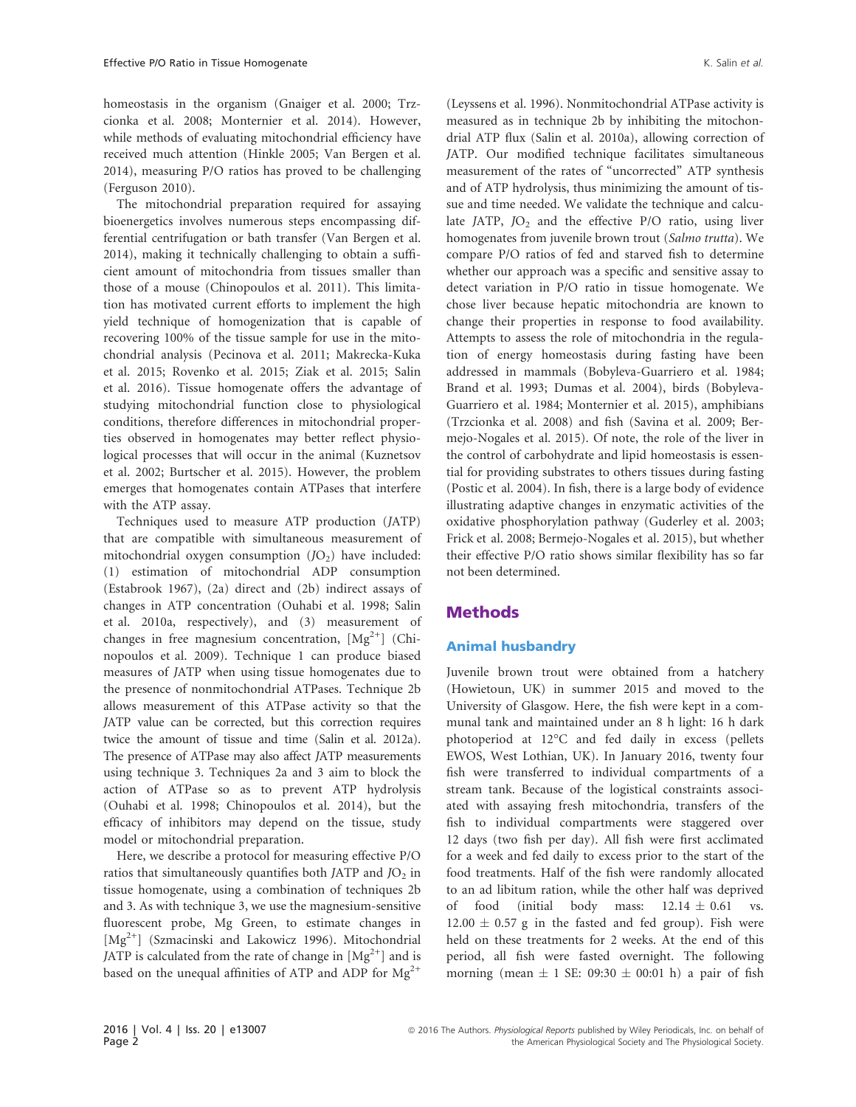homeostasis in the organism (Gnaiger et al. 2000; Trzcionka et al. 2008; Monternier et al. 2014). However, while methods of evaluating mitochondrial efficiency have received much attention (Hinkle 2005; Van Bergen et al. 2014), measuring P/O ratios has proved to be challenging (Ferguson 2010).

The mitochondrial preparation required for assaying bioenergetics involves numerous steps encompassing differential centrifugation or bath transfer (Van Bergen et al. 2014), making it technically challenging to obtain a sufficient amount of mitochondria from tissues smaller than those of a mouse (Chinopoulos et al. 2011). This limitation has motivated current efforts to implement the high yield technique of homogenization that is capable of recovering 100% of the tissue sample for use in the mitochondrial analysis (Pecinova et al. 2011; Makrecka-Kuka et al. 2015; Rovenko et al. 2015; Ziak et al. 2015; Salin et al. 2016). Tissue homogenate offers the advantage of studying mitochondrial function close to physiological conditions, therefore differences in mitochondrial properties observed in homogenates may better reflect physiological processes that will occur in the animal (Kuznetsov et al. 2002; Burtscher et al. 2015). However, the problem emerges that homogenates contain ATPases that interfere with the ATP assay.

Techniques used to measure ATP production (JATP) that are compatible with simultaneous measurement of mitochondrial oxygen consumption  $(D<sub>2</sub>)$  have included: (1) estimation of mitochondrial ADP consumption (Estabrook 1967), (2a) direct and (2b) indirect assays of changes in ATP concentration (Ouhabi et al. 1998; Salin et al. 2010a, respectively), and (3) measurement of changes in free magnesium concentration,  $[Mg^{2+}]$  (Chinopoulos et al. 2009). Technique 1 can produce biased measures of JATP when using tissue homogenates due to the presence of nonmitochondrial ATPases. Technique 2b allows measurement of this ATPase activity so that the JATP value can be corrected, but this correction requires twice the amount of tissue and time (Salin et al. 2012a). The presence of ATPase may also affect JATP measurements using technique 3. Techniques 2a and 3 aim to block the action of ATPase so as to prevent ATP hydrolysis (Ouhabi et al. 1998; Chinopoulos et al. 2014), but the efficacy of inhibitors may depend on the tissue, study model or mitochondrial preparation.

Here, we describe a protocol for measuring effective P/O ratios that simultaneously quantifies both JATP and  $JO<sub>2</sub>$  in tissue homogenate, using a combination of techniques 2b and 3. As with technique 3, we use the magnesium-sensitive fluorescent probe, Mg Green, to estimate changes in  $[Mg^{2+}]$  (Szmacinski and Lakowicz 1996). Mitochondrial JATP is calculated from the rate of change in  $[Mg^{2+}]$  and is based on the unequal affinities of ATP and ADP for  $Mg^{2+}$ 

(Leyssens et al. 1996). Nonmitochondrial ATPase activity is measured as in technique 2b by inhibiting the mitochondrial ATP flux (Salin et al. 2010a), allowing correction of JATP. Our modified technique facilitates simultaneous measurement of the rates of "uncorrected" ATP synthesis and of ATP hydrolysis, thus minimizing the amount of tissue and time needed. We validate the technique and calculate JATP,  $JO<sub>2</sub>$  and the effective P/O ratio, using liver homogenates from juvenile brown trout (Salmo trutta). We compare P/O ratios of fed and starved fish to determine whether our approach was a specific and sensitive assay to detect variation in P/O ratio in tissue homogenate. We chose liver because hepatic mitochondria are known to change their properties in response to food availability. Attempts to assess the role of mitochondria in the regulation of energy homeostasis during fasting have been addressed in mammals (Bobyleva-Guarriero et al. 1984; Brand et al. 1993; Dumas et al. 2004), birds (Bobyleva-Guarriero et al. 1984; Monternier et al. 2015), amphibians (Trzcionka et al. 2008) and fish (Savina et al. 2009; Bermejo-Nogales et al. 2015). Of note, the role of the liver in the control of carbohydrate and lipid homeostasis is essential for providing substrates to others tissues during fasting (Postic et al. 2004). In fish, there is a large body of evidence illustrating adaptive changes in enzymatic activities of the oxidative phosphorylation pathway (Guderley et al. 2003; Frick et al. 2008; Bermejo-Nogales et al. 2015), but whether their effective P/O ratio shows similar flexibility has so far not been determined.

# Methods

## Animal husbandry

Juvenile brown trout were obtained from a hatchery (Howietoun, UK) in summer 2015 and moved to the University of Glasgow. Here, the fish were kept in a communal tank and maintained under an 8 h light: 16 h dark photoperiod at 12°C and fed daily in excess (pellets EWOS, West Lothian, UK). In January 2016, twenty four fish were transferred to individual compartments of a stream tank. Because of the logistical constraints associated with assaying fresh mitochondria, transfers of the fish to individual compartments were staggered over 12 days (two fish per day). All fish were first acclimated for a week and fed daily to excess prior to the start of the food treatments. Half of the fish were randomly allocated to an ad libitum ration, while the other half was deprived of food (initial body mass:  $12.14 \pm 0.61$  vs.  $12.00 \pm 0.57$  g in the fasted and fed group). Fish were held on these treatments for 2 weeks. At the end of this period, all fish were fasted overnight. The following morning (mean  $\pm$  1 SE: 09:30  $\pm$  00:01 h) a pair of fish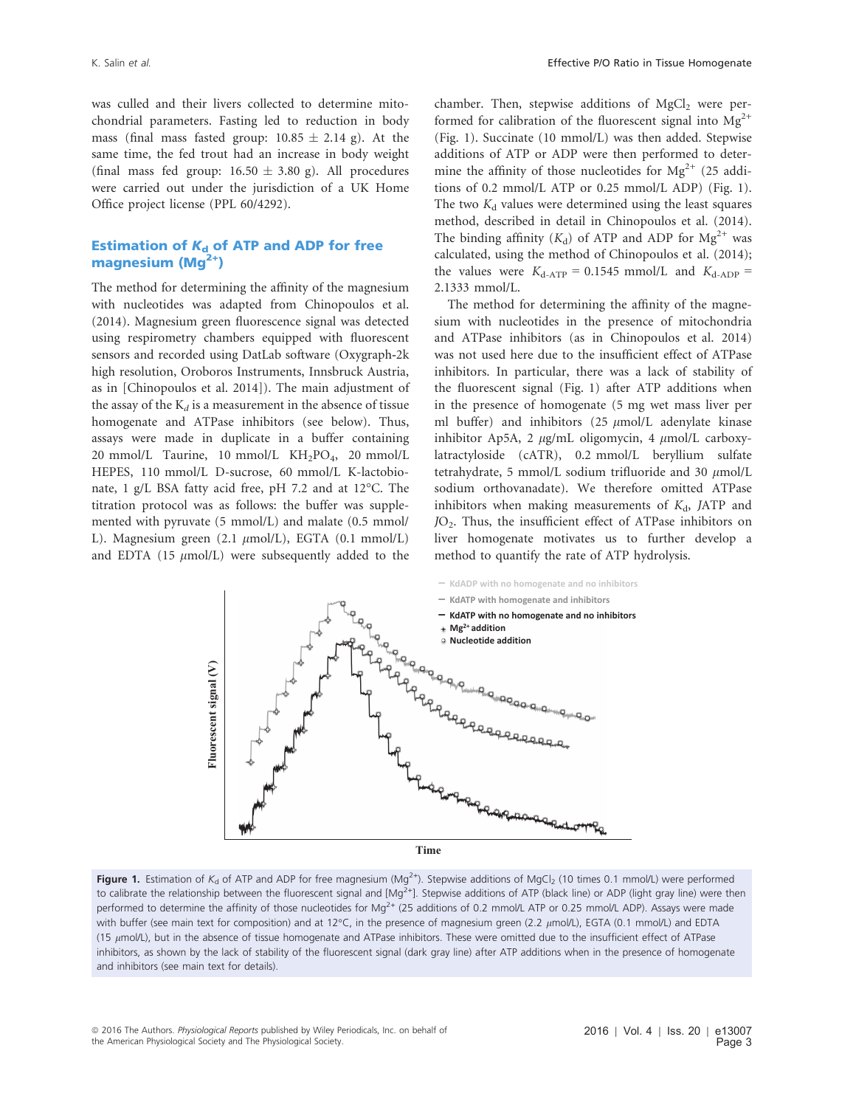was culled and their livers collected to determine mitochondrial parameters. Fasting led to reduction in body mass (final mass fasted group:  $10.85 \pm 2.14$  g). At the same time, the fed trout had an increase in body weight (final mass fed group:  $16.50 \pm 3.80$  g). All procedures were carried out under the jurisdiction of a UK Home Office project license (PPL 60/4292).

# Estimation of  $K_d$  of ATP and ADP for free magnesium  $(Mg<sup>2+</sup>)$

The method for determining the affinity of the magnesium with nucleotides was adapted from Chinopoulos et al. (2014). Magnesium green fluorescence signal was detected using respirometry chambers equipped with fluorescent sensors and recorded using DatLab software (Oxygraph-2k high resolution, Oroboros Instruments, Innsbruck Austria, as in [Chinopoulos et al. 2014]). The main adjustment of the assay of the  $K_d$  is a measurement in the absence of tissue homogenate and ATPase inhibitors (see below). Thus, assays were made in duplicate in a buffer containing 20 mmol/L Taurine, 10 mmol/L KH<sub>2</sub>PO<sub>4</sub>, 20 mmol/L HEPES, 110 mmol/L D-sucrose, 60 mmol/L K-lactobionate, 1 g/L BSA fatty acid free, pH 7.2 and at 12°C. The titration protocol was as follows: the buffer was supplemented with pyruvate (5 mmol/L) and malate (0.5 mmol/ L). Magnesium green (2.1  $\mu$ mol/L), EGTA (0.1 mmol/L) and EDTA (15  $\mu$ mol/L) were subsequently added to the chamber. Then, stepwise additions of  $MgCl<sub>2</sub>$  were performed for calibration of the fluorescent signal into  $Mg^{2+}$ (Fig. 1). Succinate (10 mmol/L) was then added. Stepwise additions of ATP or ADP were then performed to determine the affinity of those nucleotides for  $Mg^{2+}$  (25 additions of 0.2 mmol/L ATP or 0.25 mmol/L ADP) (Fig. 1). The two  $K_d$  values were determined using the least squares method, described in detail in Chinopoulos et al. (2014). The binding affinity  $(K_d)$  of ATP and ADP for  $Mg^{2+}$  was calculated, using the method of Chinopoulos et al. (2014); the values were  $K_{d-ATP} = 0.1545$  mmol/L and  $K_{d-ADP} =$ 2.1333 mmol/L.

The method for determining the affinity of the magnesium with nucleotides in the presence of mitochondria and ATPase inhibitors (as in Chinopoulos et al. 2014) was not used here due to the insufficient effect of ATPase inhibitors. In particular, there was a lack of stability of the fluorescent signal (Fig. 1) after ATP additions when in the presence of homogenate (5 mg wet mass liver per ml buffer) and inhibitors (25  $\mu$ mol/L adenylate kinase inhibitor Ap5A, 2  $\mu$ g/mL oligomycin, 4  $\mu$ mol/L carboxylatractyloside (cATR), 0.2 mmol/L beryllium sulfate tetrahydrate, 5 mmol/L sodium trifluoride and 30  $\mu$ mol/L sodium orthovanadate). We therefore omitted ATPase inhibitors when making measurements of  $K<sub>d</sub>$ , JATP and JO2. Thus, the insufficient effect of ATPase inhibitors on liver homogenate motivates us to further develop a method to quantify the rate of ATP hydrolysis.



**Figure 1.** Estimation of K<sub>d</sub> of ATP and ADP for free magnesium (Mg<sup>2+</sup>). Stepwise additions of MgCl<sub>2</sub> (10 times 0.1 mmol/L) were performed to calibrate the relationship between the fluorescent signal and  $[Mg^{2+}]$ . Stepwise additions of ATP (black line) or ADP (light gray line) were then performed to determine the affinity of those nucleotides for Mg<sup>2+</sup> (25 additions of 0.2 mmol/L ATP or 0.25 mmol/L ADP). Assays were made with buffer (see main text for composition) and at 12°C, in the presence of magnesium green (2.2  $\mu$ mol/L), EGTA (0.1 mmol/L) and EDTA (15  $\mu$ mol/L), but in the absence of tissue homogenate and ATPase inhibitors. These were omitted due to the insufficient effect of ATPase inhibitors, as shown by the lack of stability of the fluorescent signal (dark gray line) after ATP additions when in the presence of homogenate and inhibitors (see main text for details).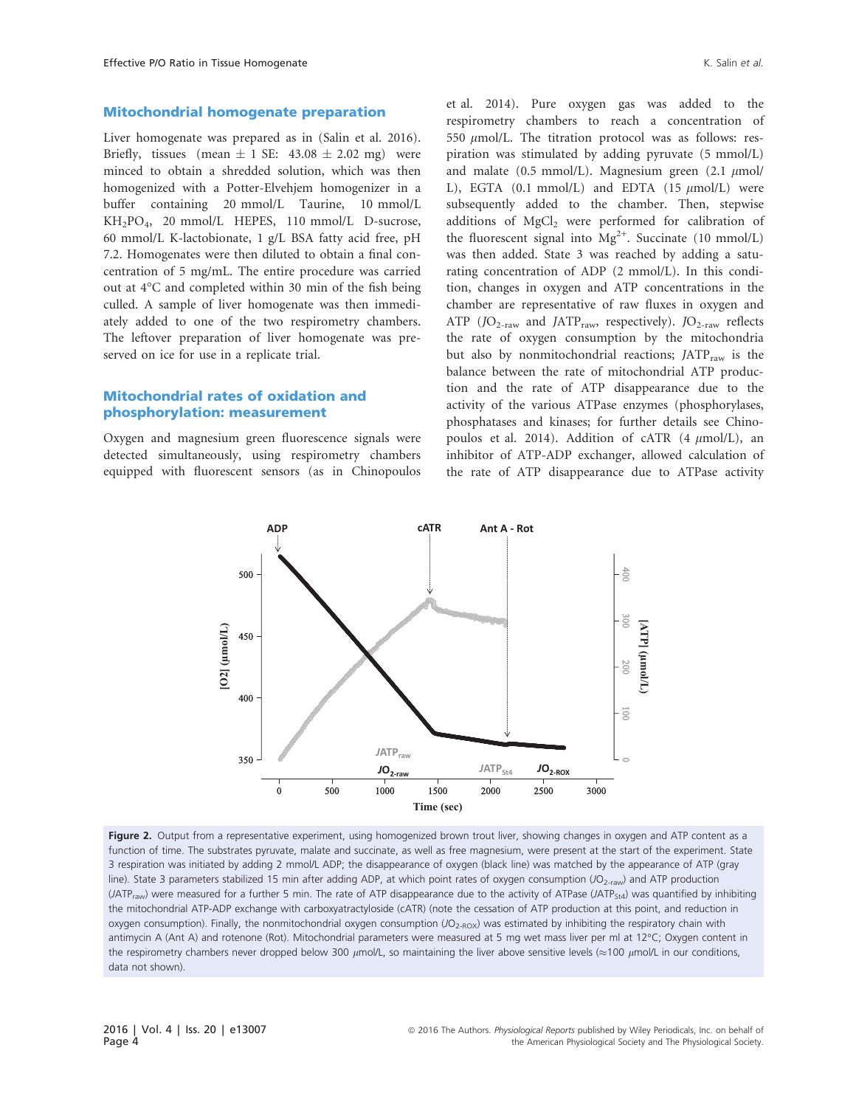#### Mitochondrial homogenate preparation

Liver homogenate was prepared as in (Salin et al. 2016). Briefly, tissues (mean  $\pm$  1 SE: 43.08  $\pm$  2.02 mg) were minced to obtain a shredded solution, which was then homogenized with a Potter-Elvehjem homogenizer in a buffer containing 20 mmol/L Taurine, 10 mmol/L KH2PO4, 20 mmol/L HEPES, 110 mmol/L D-sucrose, 60 mmol/L K-lactobionate, 1 g/L BSA fatty acid free, pH 7.2. Homogenates were then diluted to obtain a final concentration of 5 mg/mL. The entire procedure was carried out at 4°C and completed within 30 min of the fish being culled. A sample of liver homogenate was then immediately added to one of the two respirometry chambers. The leftover preparation of liver homogenate was preserved on ice for use in a replicate trial.

# Mitochondrial rates of oxidation and phosphorylation: measurement

Oxygen and magnesium green fluorescence signals were detected simultaneously, using respirometry chambers equipped with fluorescent sensors (as in Chinopoulos et al. 2014). Pure oxygen gas was added to the respirometry chambers to reach a concentration of 550  $\mu$ mol/L. The titration protocol was as follows: respiration was stimulated by adding pyruvate (5 mmol/L) and malate (0.5 mmol/L). Magnesium green (2.1  $\mu$ mol/ L), EGTA  $(0.1 \text{ mmol/L})$  and EDTA  $(15 \mu \text{mol/L})$  were subsequently added to the chamber. Then, stepwise additions of MgCl<sub>2</sub> were performed for calibration of the fluorescent signal into  $Mg^{2+}$ . Succinate (10 mmol/L) was then added. State 3 was reached by adding a saturating concentration of ADP (2 mmol/L). In this condition, changes in oxygen and ATP concentrations in the chamber are representative of raw fluxes in oxygen and ATP ( $JO_{2\text{-raw}}$  and JATP<sub>raw</sub>, respectively). JO<sub>2-raw</sub> reflects the rate of oxygen consumption by the mitochondria but also by nonmitochondrial reactions;  $JATP<sub>raw</sub>$  is the balance between the rate of mitochondrial ATP production and the rate of ATP disappearance due to the activity of the various ATPase enzymes (phosphorylases, phosphatases and kinases; for further details see Chinopoulos et al. 2014). Addition of cATR  $(4 \mu mol/L)$ , an inhibitor of ATP-ADP exchanger, allowed calculation of the rate of ATP disappearance due to ATPase activity



Figure 2. Output from a representative experiment, using homogenized brown trout liver, showing changes in oxygen and ATP content as a function of time. The substrates pyruvate, malate and succinate, as well as free magnesium, were present at the start of the experiment. State 3 respiration was initiated by adding 2 mmol/L ADP; the disappearance of oxygen (black line) was matched by the appearance of ATP (gray line). State 3 parameters stabilized 15 min after adding ADP, at which point rates of oxygen consumption (JO<sub>2-raw</sub>) and ATP production  $(JATP_{raw})$  were measured for a further 5 min. The rate of ATP disappearance due to the activity of ATPase  $(ATP_{544})$  was quantified by inhibiting the mitochondrial ATP-ADP exchange with carboxyatractyloside (cATR) (note the cessation of ATP production at this point, and reduction in oxygen consumption). Finally, the nonmitochondrial oxygen consumption (JO<sub>2-ROX</sub>) was estimated by inhibiting the respiratory chain with antimycin A (Ant A) and rotenone (Rot). Mitochondrial parameters were measured at 5 mg wet mass liver per ml at 12°C; Oxygen content in the respirometry chambers never dropped below 300  $\mu$ mol/L, so maintaining the liver above sensitive levels ( $\approx$ 100  $\mu$ mol/L in our conditions, data not shown).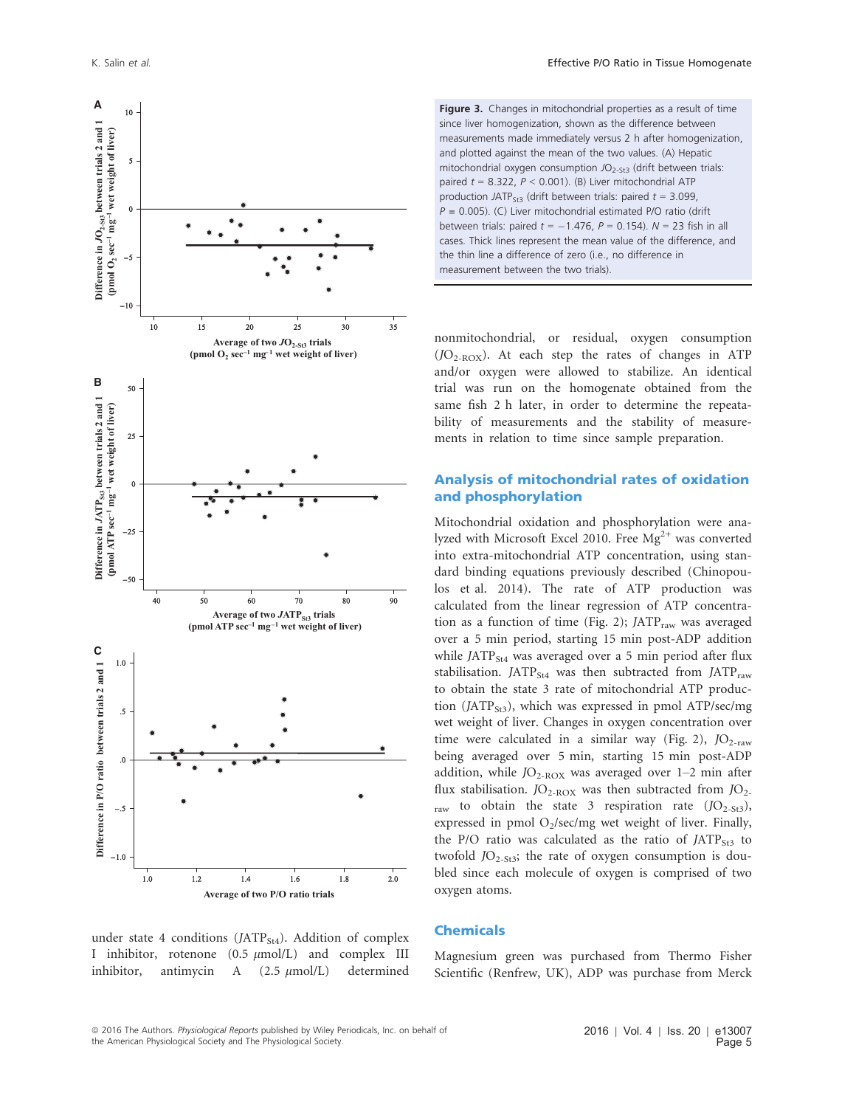

Figure 3. Changes in mitochondrial properties as a result of time since liver homogenization, shown as the difference between measurements made immediately versus 2 h after homogenization, and plotted against the mean of the two values. (A) Hepatic mitochondrial oxygen consumption  $JO_{2-5t3}$  (drift between trials: paired  $t = 8.322$ ,  $P < 0.001$ ). (B) Liver mitochondrial ATP production JATP<sub>St3</sub> (drift between trials: paired  $t = 3.099$ ,  $P = 0.005$ ). (C) Liver mitochondrial estimated P/O ratio (drift between trials: paired  $t = -1.476$ ,  $P = 0.154$ ).  $N = 23$  fish in all cases. Thick lines represent the mean value of the difference, and the thin line a difference of zero (i.e., no difference in measurement between the two trials).

nonmitochondrial, or residual, oxygen consumption  $(JO<sub>2-ROX</sub>)$ . At each step the rates of changes in ATP and/or oxygen were allowed to stabilize. An identical trial was run on the homogenate obtained from the same fish 2 h later, in order to determine the repeatability of measurements and the stability of measurements in relation to time since sample preparation.

# Analysis of mitochondrial rates of oxidation and phosphorylation

Mitochondrial oxidation and phosphorylation were analyzed with Microsoft Excel 2010. Free  $Mg^{2+}$  was converted into extra-mitochondrial ATP concentration, using standard binding equations previously described (Chinopoulos et al. 2014). The rate of ATP production was calculated from the linear regression of ATP concentration as a function of time (Fig. 2);  $JATP<sub>raw</sub>$  was averaged over a 5 min period, starting 15 min post-ADP addition while JATP $_{St4}$  was averaged over a 5 min period after flux stabilisation.  $JATP_{St4}$  was then subtracted from  $JATP_{raw}$ to obtain the state 3 rate of mitochondrial ATP production (JATP<sub>St3</sub>), which was expressed in pmol ATP/sec/mg wet weight of liver. Changes in oxygen concentration over time were calculated in a similar way (Fig. 2),  $JO_{2\text{-raw}}$ being averaged over 5 min, starting 15 min post-ADP addition, while  $JO_{2-ROX}$  was averaged over 1–2 min after flux stabilisation.  $JO_{2-ROX}$  was then subtracted from  $JO_{2-}$ raw to obtain the state 3 respiration rate  $(D_{2-St3})$ , expressed in pmol  $O_2$ /sec/mg wet weight of liver. Finally, the P/O ratio was calculated as the ratio of  $JATP<sub>St3</sub>$  to twofold  $JO_{2-St3}$ ; the rate of oxygen consumption is doubled since each molecule of oxygen is comprised of two oxygen atoms.

# under state 4 conditions (JATP<sub>St4</sub>). Addition of complex I inhibitor, rotenone  $(0.5 \mu \text{mol/L})$  and complex III inhibitor, antimycin  $A$  (2.5  $\mu$ mol/L) determined

# Chemicals

Magnesium green was purchased from Thermo Fisher Scientific (Renfrew, UK), ADP was purchase from Merck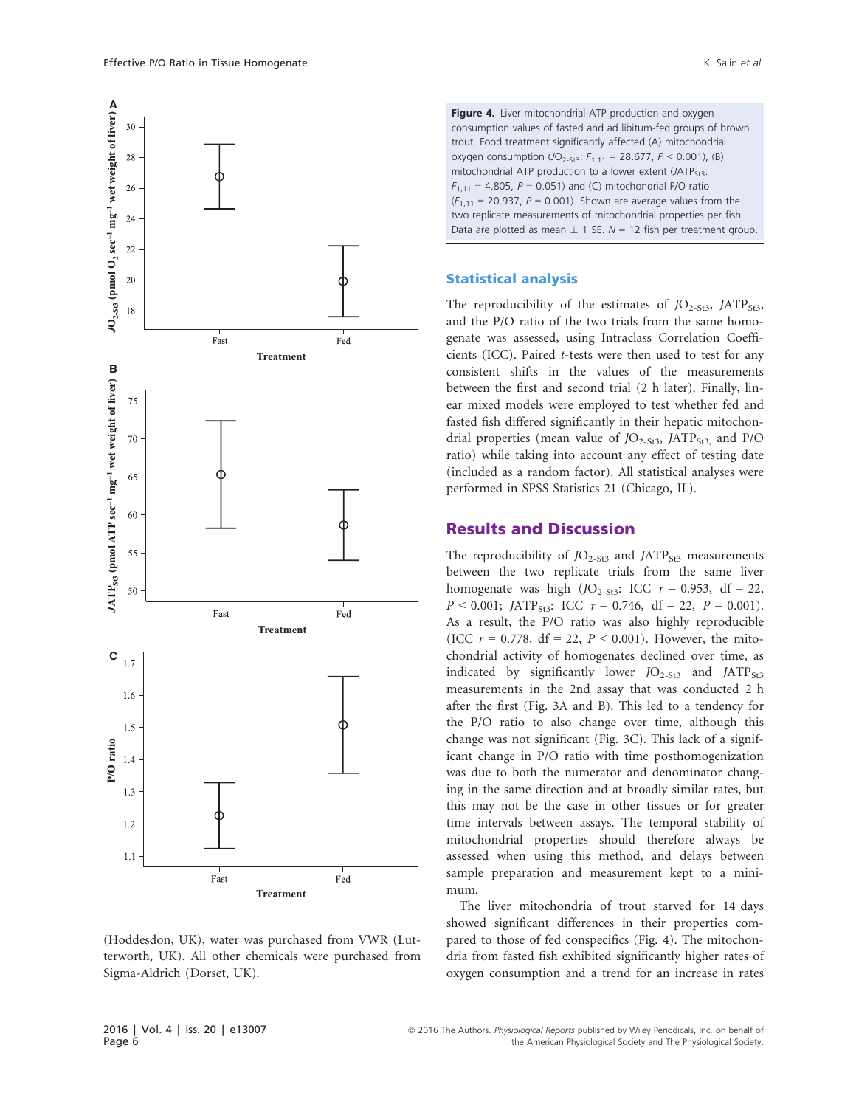

(Hoddesdon, UK), water was purchased from VWR (Lutterworth, UK). All other chemicals were purchased from Sigma-Aldrich (Dorset, UK).

Figure 4. Liver mitochondrial ATP production and oxygen consumption values of fasted and ad libitum-fed groups of brown trout. Food treatment significantly affected (A) mitochondrial oxygen consumption  $(JO_{2-5t3}: F_{1,11} = 28.677, P < 0.001)$ , (B) mitochondrial ATP production to a lower extent  $(JATP<sub>St3</sub>:$  $F_{1,11} = 4.805$ ,  $P = 0.051$ ) and (C) mitochondrial P/O ratio  $(F_{1,11} = 20.937, P = 0.001)$ . Shown are average values from the two replicate measurements of mitochondrial properties per fish. Data are plotted as mean  $\pm$  1 SE. N = 12 fish per treatment group.

#### Statistical analysis

The reproducibility of the estimates of  $JO<sub>2-St3</sub>$ , JATP<sub>St3</sub>, and the P/O ratio of the two trials from the same homogenate was assessed, using Intraclass Correlation Coefficients (ICC). Paired t-tests were then used to test for any consistent shifts in the values of the measurements between the first and second trial (2 h later). Finally, linear mixed models were employed to test whether fed and fasted fish differed significantly in their hepatic mitochondrial properties (mean value of  $JO<sub>2-St3</sub>$ , JATP<sub>St3</sub>, and P/O ratio) while taking into account any effect of testing date (included as a random factor). All statistical analyses were performed in SPSS Statistics 21 (Chicago, IL).

# Results and Discussion

The reproducibility of  $JO<sub>2-St3</sub>$  and JATP<sub>St3</sub> measurements between the two replicate trials from the same liver homogenate was high  $(JO_{2-St3}: ICC r = 0.953, df = 22,$  $P < 0.001$ ; JATP<sub>St3</sub>: ICC  $r = 0.746$ , df = 22,  $P = 0.001$ ). As a result, the P/O ratio was also highly reproducible (ICC  $r = 0.778$ , df = 22,  $P < 0.001$ ). However, the mitochondrial activity of homogenates declined over time, as indicated by significantly lower  $JO<sub>2-St3</sub>$  and  $JATP<sub>St3</sub>$ measurements in the 2nd assay that was conducted 2 h after the first (Fig. 3A and B). This led to a tendency for the P/O ratio to also change over time, although this change was not significant (Fig. 3C). This lack of a significant change in P/O ratio with time posthomogenization was due to both the numerator and denominator changing in the same direction and at broadly similar rates, but this may not be the case in other tissues or for greater time intervals between assays. The temporal stability of mitochondrial properties should therefore always be assessed when using this method, and delays between sample preparation and measurement kept to a minimum.

The liver mitochondria of trout starved for 14 days showed significant differences in their properties compared to those of fed conspecifics (Fig. 4). The mitochondria from fasted fish exhibited significantly higher rates of oxygen consumption and a trend for an increase in rates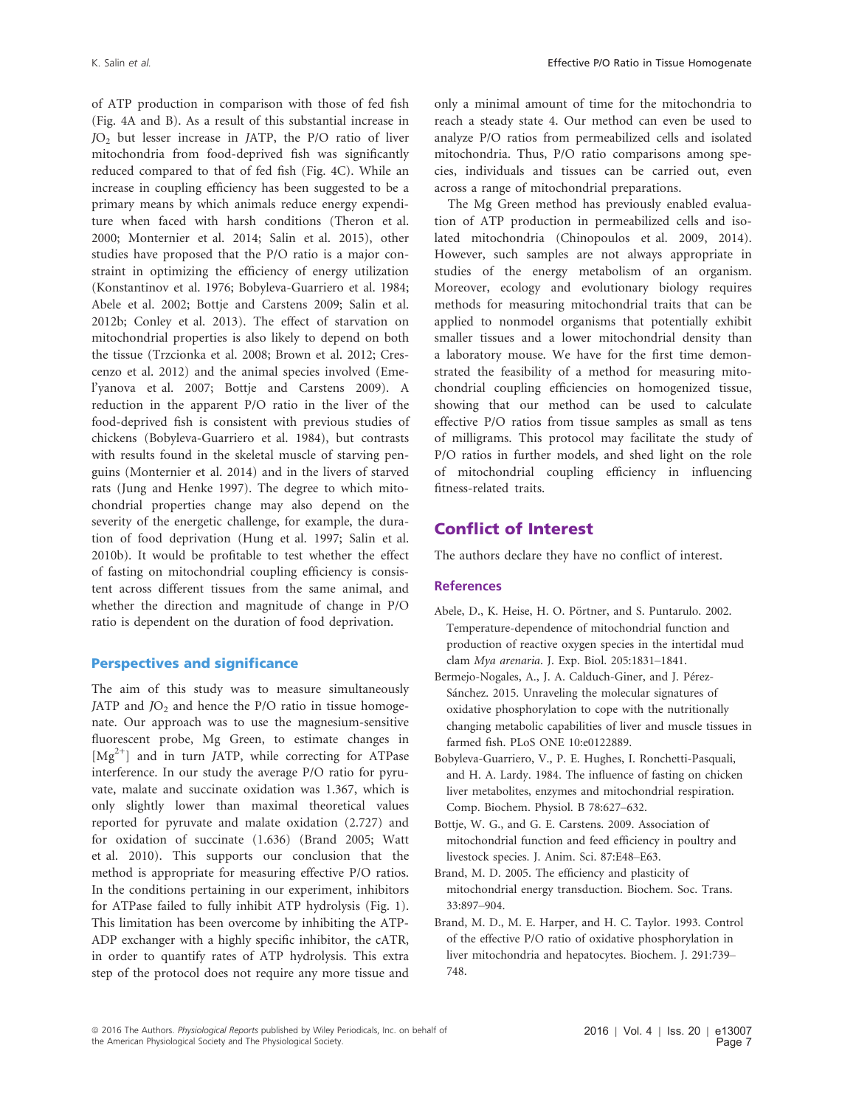of ATP production in comparison with those of fed fish (Fig. 4A and B). As a result of this substantial increase in JO2 but lesser increase in JATP, the P/O ratio of liver mitochondria from food-deprived fish was significantly reduced compared to that of fed fish (Fig. 4C). While an increase in coupling efficiency has been suggested to be a primary means by which animals reduce energy expenditure when faced with harsh conditions (Theron et al. 2000; Monternier et al. 2014; Salin et al. 2015), other studies have proposed that the P/O ratio is a major constraint in optimizing the efficiency of energy utilization (Konstantinov et al. 1976; Bobyleva-Guarriero et al. 1984; Abele et al. 2002; Bottje and Carstens 2009; Salin et al. 2012b; Conley et al. 2013). The effect of starvation on mitochondrial properties is also likely to depend on both the tissue (Trzcionka et al. 2008; Brown et al. 2012; Crescenzo et al. 2012) and the animal species involved (Emel'yanova et al. 2007; Bottje and Carstens 2009). A reduction in the apparent P/O ratio in the liver of the food-deprived fish is consistent with previous studies of chickens (Bobyleva-Guarriero et al. 1984), but contrasts with results found in the skeletal muscle of starving penguins (Monternier et al. 2014) and in the livers of starved rats (Jung and Henke 1997). The degree to which mitochondrial properties change may also depend on the severity of the energetic challenge, for example, the duration of food deprivation (Hung et al. 1997; Salin et al. 2010b). It would be profitable to test whether the effect of fasting on mitochondrial coupling efficiency is consistent across different tissues from the same animal, and whether the direction and magnitude of change in P/O ratio is dependent on the duration of food deprivation.

## Perspectives and significance

The aim of this study was to measure simultaneously JATP and  $JO<sub>2</sub>$  and hence the P/O ratio in tissue homogenate. Our approach was to use the magnesium-sensitive fluorescent probe, Mg Green, to estimate changes in  $[Mg^{2+}]$  and in turn JATP, while correcting for ATPase interference. In our study the average P/O ratio for pyruvate, malate and succinate oxidation was 1.367, which is only slightly lower than maximal theoretical values reported for pyruvate and malate oxidation (2.727) and for oxidation of succinate (1.636) (Brand 2005; Watt et al. 2010). This supports our conclusion that the method is appropriate for measuring effective P/O ratios. In the conditions pertaining in our experiment, inhibitors for ATPase failed to fully inhibit ATP hydrolysis (Fig. 1). This limitation has been overcome by inhibiting the ATP-ADP exchanger with a highly specific inhibitor, the cATR, in order to quantify rates of ATP hydrolysis. This extra step of the protocol does not require any more tissue and

only a minimal amount of time for the mitochondria to reach a steady state 4. Our method can even be used to analyze P/O ratios from permeabilized cells and isolated mitochondria. Thus, P/O ratio comparisons among species, individuals and tissues can be carried out, even across a range of mitochondrial preparations.

The Mg Green method has previously enabled evaluation of ATP production in permeabilized cells and isolated mitochondria (Chinopoulos et al. 2009, 2014). However, such samples are not always appropriate in studies of the energy metabolism of an organism. Moreover, ecology and evolutionary biology requires methods for measuring mitochondrial traits that can be applied to nonmodel organisms that potentially exhibit smaller tissues and a lower mitochondrial density than a laboratory mouse. We have for the first time demonstrated the feasibility of a method for measuring mitochondrial coupling efficiencies on homogenized tissue, showing that our method can be used to calculate effective P/O ratios from tissue samples as small as tens of milligrams. This protocol may facilitate the study of P/O ratios in further models, and shed light on the role of mitochondrial coupling efficiency in influencing fitness-related traits.

# Conflict of Interest

The authors declare they have no conflict of interest.

#### References

- Abele, D., K. Heise, H. O. Pörtner, and S. Puntarulo. 2002. Temperature-dependence of mitochondrial function and production of reactive oxygen species in the intertidal mud clam Mya arenaria. J. Exp. Biol. 205:1831–1841.
- Bermejo-Nogales, A., J. A. Calduch-Giner, and J. Pérez-Sánchez. 2015. Unraveling the molecular signatures of oxidative phosphorylation to cope with the nutritionally changing metabolic capabilities of liver and muscle tissues in farmed fish. PLoS ONE 10:e0122889.
- Bobyleva-Guarriero, V., P. E. Hughes, I. Ronchetti-Pasquali, and H. A. Lardy. 1984. The influence of fasting on chicken liver metabolites, enzymes and mitochondrial respiration. Comp. Biochem. Physiol. B 78:627–632.
- Bottje, W. G., and G. E. Carstens. 2009. Association of mitochondrial function and feed efficiency in poultry and livestock species. J. Anim. Sci. 87:E48–E63.
- Brand, M. D. 2005. The efficiency and plasticity of mitochondrial energy transduction. Biochem. Soc. Trans. 33:897–904.
- Brand, M. D., M. E. Harper, and H. C. Taylor. 1993. Control of the effective P/O ratio of oxidative phosphorylation in liver mitochondria and hepatocytes. Biochem. J. 291:739– 748.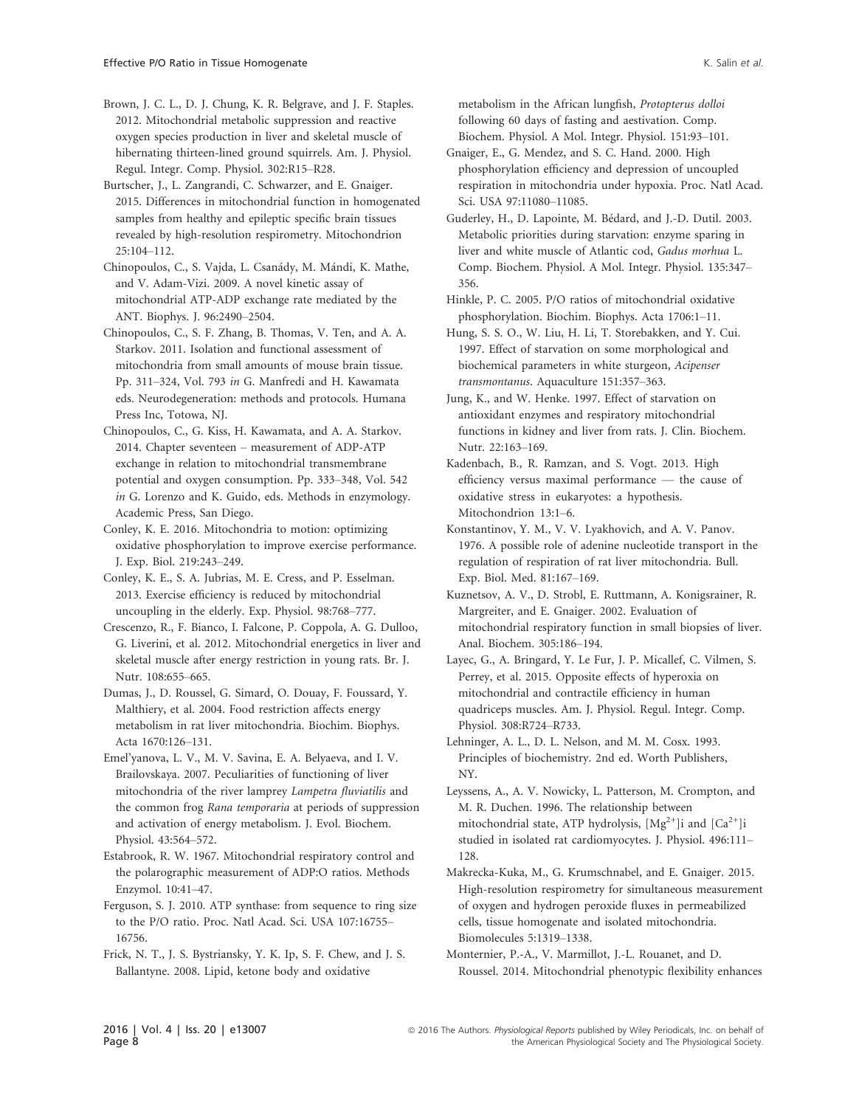Brown, J. C. L., D. J. Chung, K. R. Belgrave, and J. F. Staples. 2012. Mitochondrial metabolic suppression and reactive oxygen species production in liver and skeletal muscle of hibernating thirteen-lined ground squirrels. Am. J. Physiol. Regul. Integr. Comp. Physiol. 302:R15–R28.

Burtscher, J., L. Zangrandi, C. Schwarzer, and E. Gnaiger. 2015. Differences in mitochondrial function in homogenated samples from healthy and epileptic specific brain tissues revealed by high-resolution respirometry. Mitochondrion 25:104–112.

Chinopoulos, C., S. Vajda, L. Csanády, M. Mándi, K. Mathe, and V. Adam-Vizi. 2009. A novel kinetic assay of mitochondrial ATP-ADP exchange rate mediated by the ANT. Biophys. J. 96:2490–2504.

Chinopoulos, C., S. F. Zhang, B. Thomas, V. Ten, and A. A. Starkov. 2011. Isolation and functional assessment of mitochondria from small amounts of mouse brain tissue. Pp. 311–324, Vol. 793 in G. Manfredi and H. Kawamata eds. Neurodegeneration: methods and protocols. Humana Press Inc, Totowa, NJ.

Chinopoulos, C., G. Kiss, H. Kawamata, and A. A. Starkov. 2014. Chapter seventeen – measurement of ADP-ATP exchange in relation to mitochondrial transmembrane potential and oxygen consumption. Pp. 333–348, Vol. 542 in G. Lorenzo and K. Guido, eds. Methods in enzymology. Academic Press, San Diego.

Conley, K. E. 2016. Mitochondria to motion: optimizing oxidative phosphorylation to improve exercise performance. J. Exp. Biol. 219:243–249.

Conley, K. E., S. A. Jubrias, M. E. Cress, and P. Esselman. 2013. Exercise efficiency is reduced by mitochondrial uncoupling in the elderly. Exp. Physiol. 98:768–777.

Crescenzo, R., F. Bianco, I. Falcone, P. Coppola, A. G. Dulloo, G. Liverini, et al. 2012. Mitochondrial energetics in liver and skeletal muscle after energy restriction in young rats. Br. J. Nutr. 108:655-665.

Dumas, J., D. Roussel, G. Simard, O. Douay, F. Foussard, Y. Malthiery, et al. 2004. Food restriction affects energy metabolism in rat liver mitochondria. Biochim. Biophys. Acta 1670:126–131.

Emel'yanova, L. V., M. V. Savina, E. A. Belyaeva, and I. V. Brailovskaya. 2007. Peculiarities of functioning of liver mitochondria of the river lamprey Lampetra fluviatilis and the common frog Rana temporaria at periods of suppression and activation of energy metabolism. J. Evol. Biochem. Physiol. 43:564–572.

Estabrook, R. W. 1967. Mitochondrial respiratory control and the polarographic measurement of ADP:O ratios. Methods Enzymol. 10:41–47.

Ferguson, S. J. 2010. ATP synthase: from sequence to ring size to the P/O ratio. Proc. Natl Acad. Sci. USA 107:16755– 16756.

Frick, N. T., J. S. Bystriansky, Y. K. Ip, S. F. Chew, and J. S. Ballantyne. 2008. Lipid, ketone body and oxidative

metabolism in the African lungfish, Protopterus dolloi following 60 days of fasting and aestivation. Comp. Biochem. Physiol. A Mol. Integr. Physiol. 151:93–101.

Gnaiger, E., G. Mendez, and S. C. Hand. 2000. High phosphorylation efficiency and depression of uncoupled respiration in mitochondria under hypoxia. Proc. Natl Acad. Sci. USA 97:11080–11085.

Guderley, H., D. Lapointe, M. Bédard, and J.-D. Dutil. 2003. Metabolic priorities during starvation: enzyme sparing in liver and white muscle of Atlantic cod, Gadus morhua L. Comp. Biochem. Physiol. A Mol. Integr. Physiol. 135:347– 356.

Hinkle, P. C. 2005. P/O ratios of mitochondrial oxidative phosphorylation. Biochim. Biophys. Acta 1706:1–11.

Hung, S. S. O., W. Liu, H. Li, T. Storebakken, and Y. Cui. 1997. Effect of starvation on some morphological and biochemical parameters in white sturgeon, Acipenser transmontanus. Aquaculture 151:357–363.

Jung, K., and W. Henke. 1997. Effect of starvation on antioxidant enzymes and respiratory mitochondrial functions in kidney and liver from rats. J. Clin. Biochem. Nutr. 22:163–169.

Kadenbach, B., R. Ramzan, and S. Vogt. 2013. High efficiency versus maximal performance — the cause of oxidative stress in eukaryotes: a hypothesis. Mitochondrion 13:1–6.

Konstantinov, Y. M., V. V. Lyakhovich, and A. V. Panov. 1976. A possible role of adenine nucleotide transport in the regulation of respiration of rat liver mitochondria. Bull. Exp. Biol. Med. 81:167–169.

Kuznetsov, A. V., D. Strobl, E. Ruttmann, A. Konigsrainer, R. Margreiter, and E. Gnaiger. 2002. Evaluation of mitochondrial respiratory function in small biopsies of liver. Anal. Biochem. 305:186–194.

Layec, G., A. Bringard, Y. Le Fur, J. P. Micallef, C. Vilmen, S. Perrey, et al. 2015. Opposite effects of hyperoxia on mitochondrial and contractile efficiency in human quadriceps muscles. Am. J. Physiol. Regul. Integr. Comp. Physiol. 308:R724–R733.

Lehninger, A. L., D. L. Nelson, and M. M. Cosx. 1993. Principles of biochemistry. 2nd ed. Worth Publishers, NY.

Leyssens, A., A. V. Nowicky, L. Patterson, M. Crompton, and M. R. Duchen. 1996. The relationship between mitochondrial state, ATP hydrolysis,  $[Mg^{2+}]$ i and  $[Ca^{2+}]$ i studied in isolated rat cardiomyocytes. J. Physiol. 496:111– 128.

Makrecka-Kuka, M., G. Krumschnabel, and E. Gnaiger. 2015. High-resolution respirometry for simultaneous measurement of oxygen and hydrogen peroxide fluxes in permeabilized cells, tissue homogenate and isolated mitochondria. Biomolecules 5:1319–1338.

Monternier, P.-A., V. Marmillot, J.-L. Rouanet, and D. Roussel. 2014. Mitochondrial phenotypic flexibility enhances